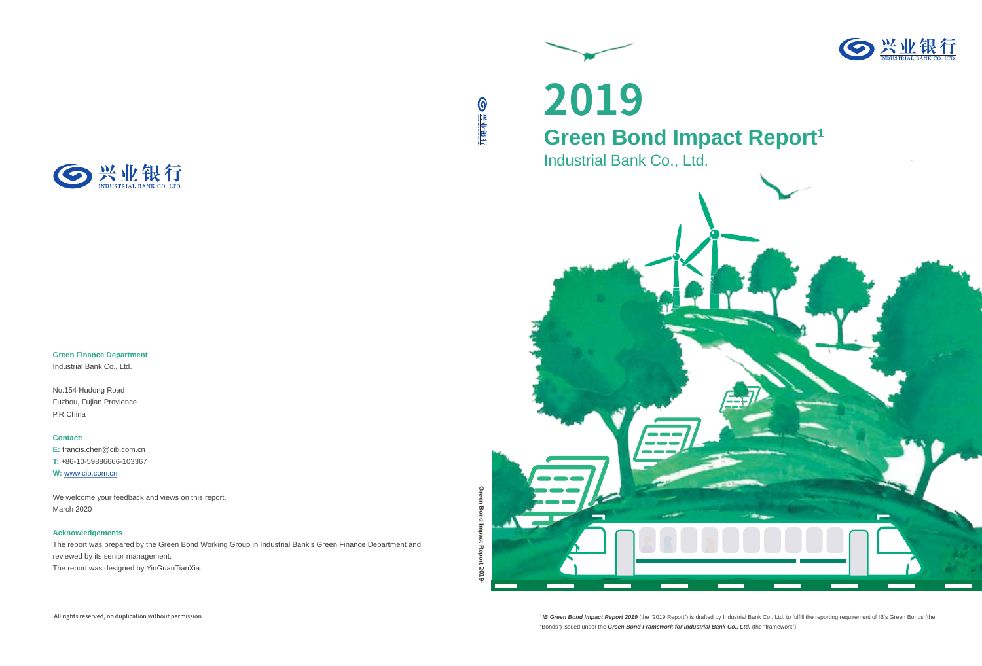

**Green Finance Department** Industrial Bank Co., Ltd.

No.154 Hudong Road Fuzhou, Fujian Provience

P.R.China

**Contact:**

**E:** francis.chen@cib.com.cn **T:** +86-10-59886666-103367 **W:** www.cib.com.cn

We welcome your feedback and views on this report. March 2020

#### **Acknowledgements**

The report was prepared by the Green Bond Working Group in Industrial Bank's Green Finance Department and reviewed by its senior management. The report was designed by YinGuanTianXia.

●兴业银行

<sup>1</sup> IB Green Bond Impact Report 2019 (the "2019 Report") is drafted by Industrial Bank Co., Ltd. to fulfill the reporting requirement of IB's Green Bonds (the "Bonds") issued under the **Green Bond Framework for Industrial Bank Co., Ltd.** (the "framework").

**Green Bond Impact Report** Green Bond Impact Report 2019<sup>1</sup>



All rights reserved, no duplication without permission.

**2019**

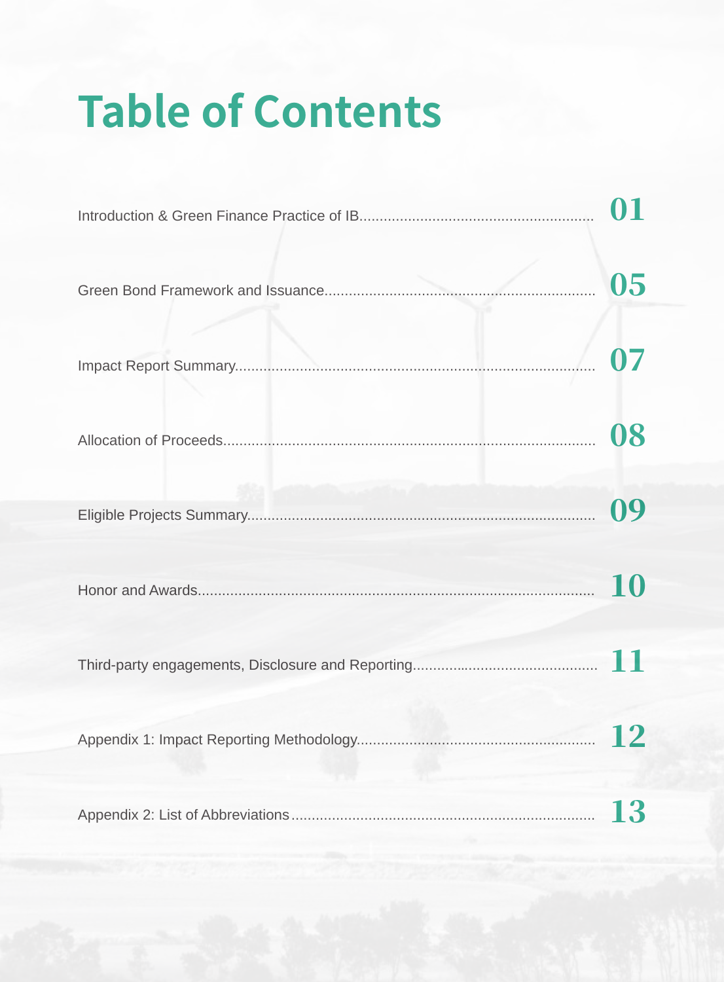# **Table of Contents**

| 05 |
|----|
|    |
| 08 |
| 09 |
|    |
|    |
|    |
| 13 |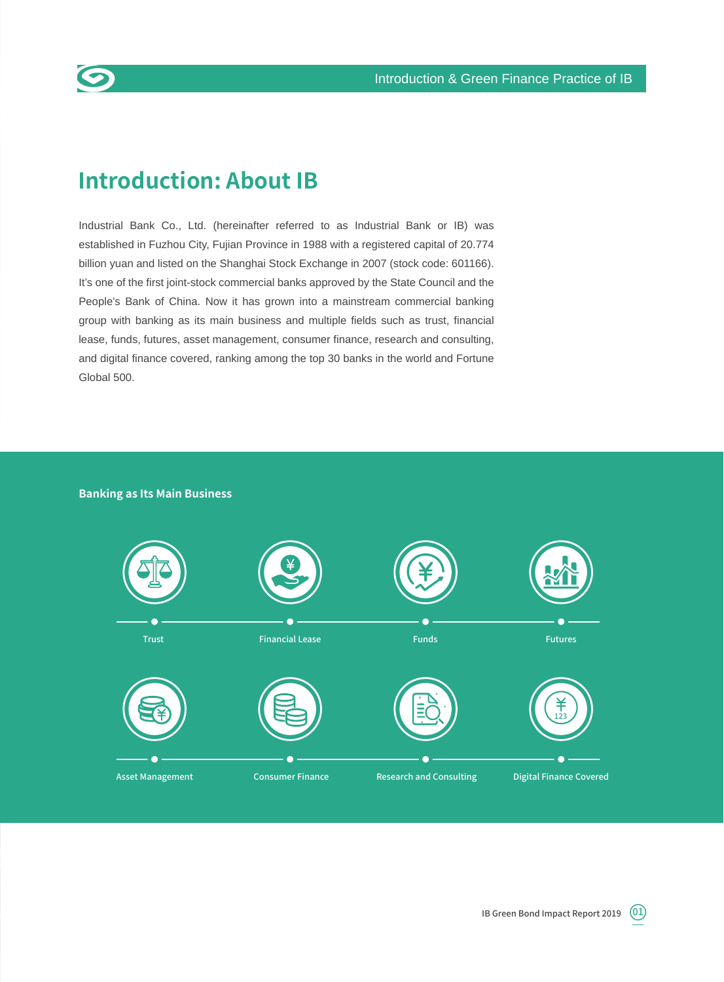

## **Introduction: About IB**

Industrial Bank Co., Ltd. (hereinafter referred to as Industrial Bank or IB) was established in Fuzhou City, Fujian Province in 1988 with a registered capital of 20.774 billion yuan and listed on the Shanghai Stock Exchange in 2007 (stock code: 601166). It's one of the first joint-stock commercial banks approved by the State Council and the People's Bank of China. Now it has grown into a mainstream commercial banking group with banking as its main business and multiple fields such as trust, financial lease, funds, futures, asset management, consumer finance, research and consulting, and digital finance covered, ranking among the top 30 banks in the world and Fortune Global 500.

#### **Banking as Its Main Business**

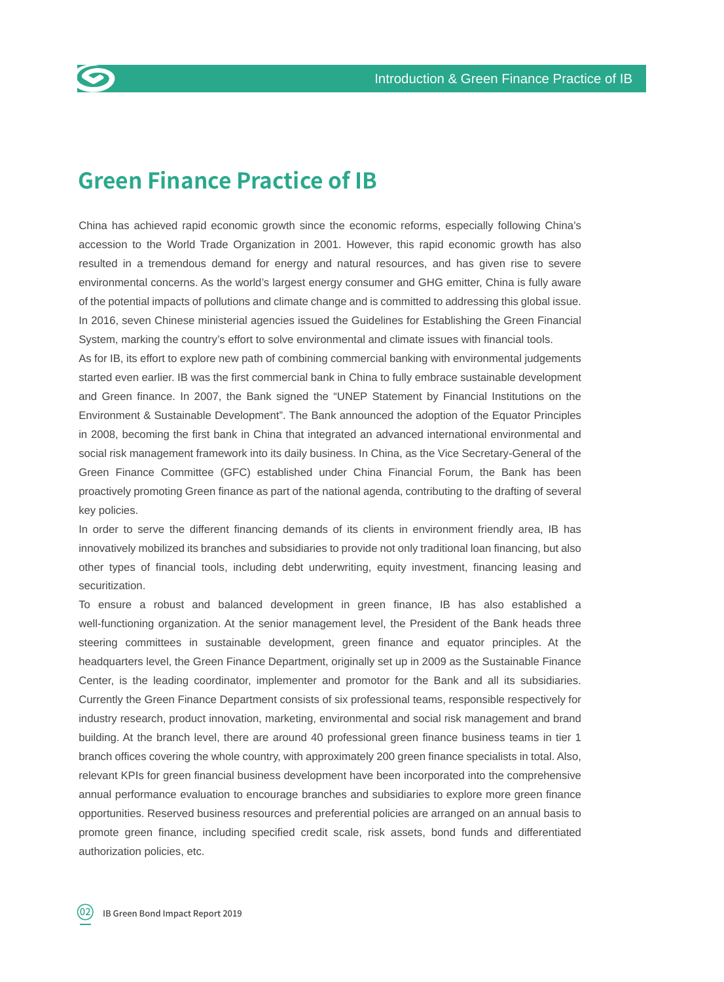

## **Green Finance Practice of IB**

China has achieved rapid economic growth since the economic reforms, especially following China's accession to the World Trade Organization in 2001. However, this rapid economic growth has also resulted in a tremendous demand for energy and natural resources, and has given rise to severe environmental concerns. As the world's largest energy consumer and GHG emitter, China is fully aware of the potential impacts of pollutions and climate change and is committed to addressing this global issue. In 2016, seven Chinese ministerial agencies issued the Guidelines for Establishing the Green Financial System, marking the country's effort to solve environmental and climate issues with financial tools.

As for IB, its effort to explore new path of combining commercial banking with environmental judgements started even earlier. IB was the first commercial bank in China to fully embrace sustainable development and Green finance. In 2007, the Bank signed the "UNEP Statement by Financial Institutions on the Environment & Sustainable Development". The Bank announced the adoption of the Equator Principles in 2008, becoming the first bank in China that integrated an advanced international environmental and social risk management framework into its daily business. In China, as the Vice Secretary-General of the Green Finance Committee (GFC) established under China Financial Forum, the Bank has been proactively promoting Green finance as part of the national agenda, contributing to the drafting of several key policies.

In order to serve the different financing demands of its clients in environment friendly area, IB has innovatively mobilized its branches and subsidiaries to provide not only traditional loan financing, but also other types of financial tools, including debt underwriting, equity investment, financing leasing and securitization.

To ensure a robust and balanced development in green finance, IB has also established a well-functioning organization. At the senior management level, the President of the Bank heads three steering committees in sustainable development, green finance and equator principles. At the headquarters level, the Green Finance Department, originally set up in 2009 as the Sustainable Finance Center, is the leading coordinator, implementer and promotor for the Bank and all its subsidiaries. Currently the Green Finance Department consists of six professional teams, responsible respectively for industry research, product innovation, marketing, environmental and social risk management and brand building. At the branch level, there are around 40 professional green finance business teams in tier 1 branch offices covering the whole country, with approximately 200 green finance specialists in total. Also, relevant KPIs for green financial business development have been incorporated into the comprehensive annual performance evaluation to encourage branches and subsidiaries to explore more green finance opportunities. Reserved business resources and preferential policies are arranged on an annual basis to promote green finance, including specified credit scale, risk assets, bond funds and differentiated authorization policies, etc.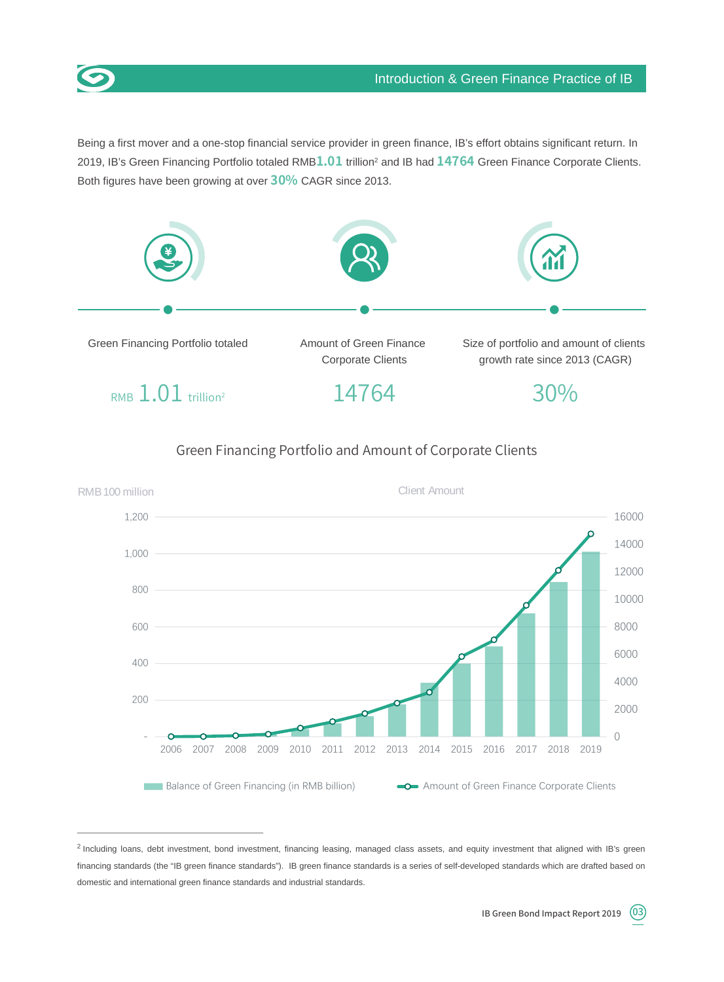

Being a first mover and a one-stop financial service provider in green finance, IB's effort obtains significant return. In 2019, IB's Green Financing Portfolio totaled RMB**1.01** trillion2 and IB had **14764** Green Finance Corporate Clients. Both figures have been growing at over **30%** CAGR since 2013.







<sup>2</sup> Including loans, debt investment, bond investment, financing leasing, managed class assets, and equity investment that aligned with IB's green financing standards (the "IB green finance standards"). IB green finance standards is a series of self-developed standards which are drafted based on domestic and international green finance standards and industrial standards.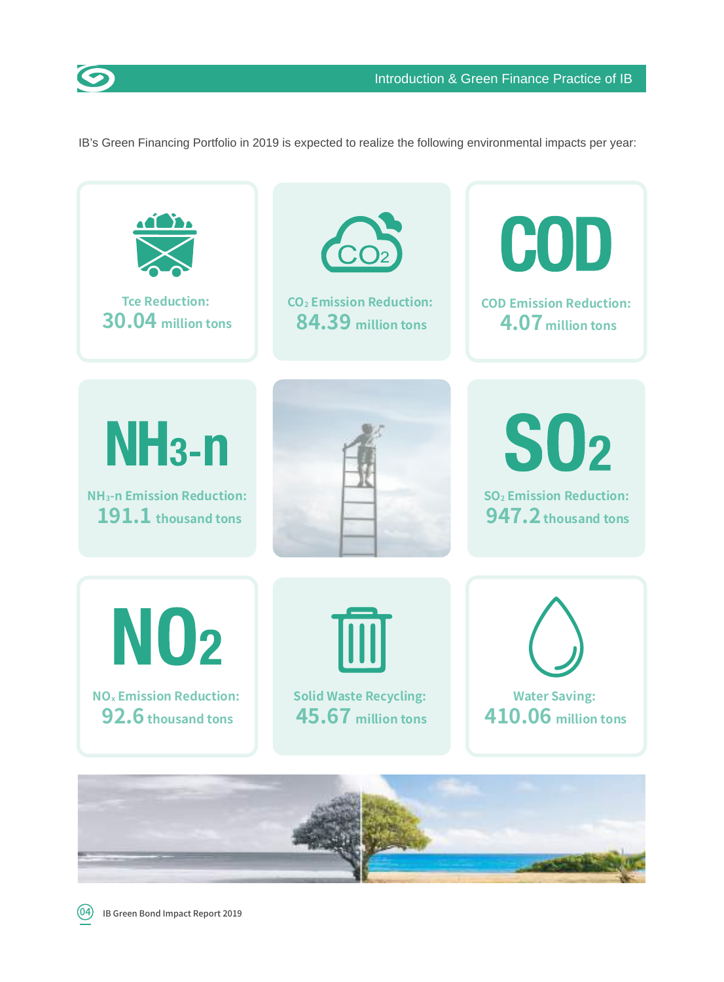

IB's Green Financing Portfolio in 2019 is expected to realize the following environmental impacts per year:

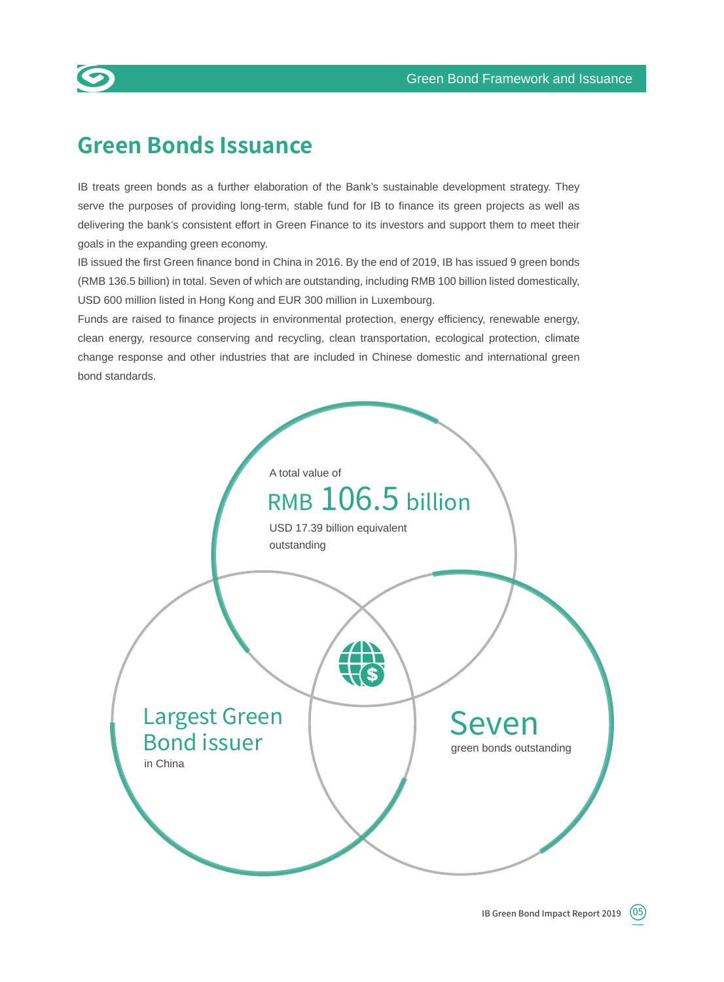

## **Green Bonds Issuance**

IB treats green bonds as a further elaboration of the Bank's sustainable development strategy. They serve the purposes of providing long-term, stable fund for IB to finance its green projects as well as delivering the bank's consistent effort in Green Finance to its investors and support them to meet their goals in the expanding green economy.

IB issued the first Green finance bond in China in 2016. By the end of 2019, IB has issued 9 green bonds (RMB 136.5 billion) in total. Seven of which are outstanding, including RMB 100 billion listed domestically, USD 600 million listed in Hong Kong and EUR 300 million in Luxembourg.

Funds are raised to finance projects in environmental protection, energy efficiency, renewable energy, clean energy, resource conserving and recycling, clean transportation, ecological protection, climate change response and other industries that are included in Chinese domestic and international green bond standards.

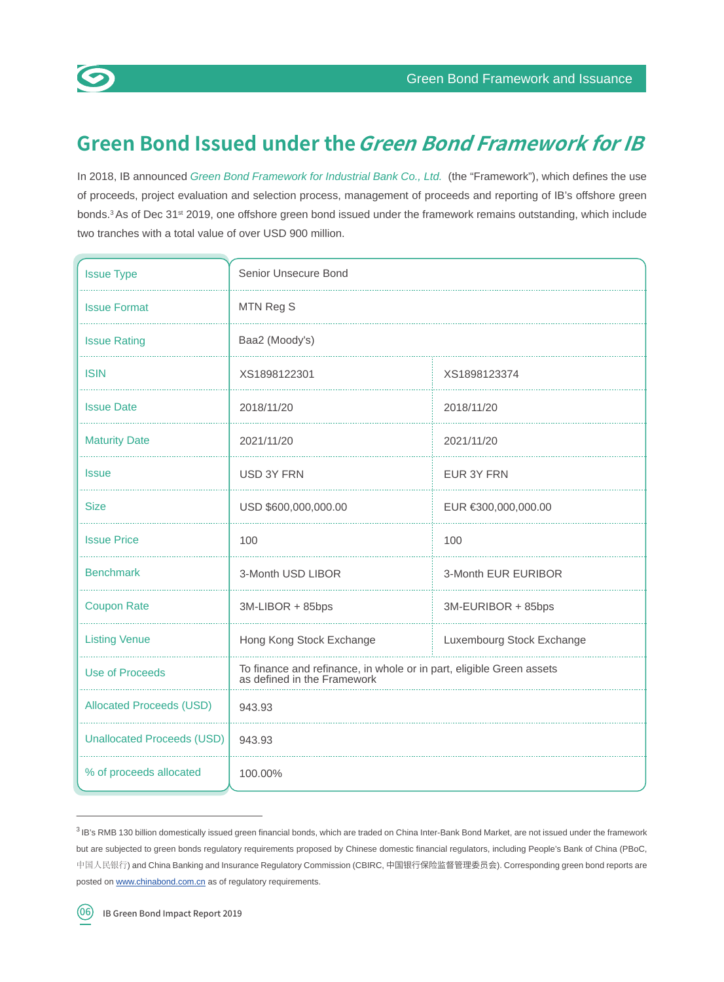

## **Green Bond Issued under the Green Bond Framework for IB**

In 2018, IB announced Green Bond Framework for Industrial Bank Co., Ltd. (the "Framework"), which defines the use of proceeds, project evaluation and selection process, management of proceeds and reporting of IB's offshore green bonds.<sup>3</sup> As of Dec 31<sup>st</sup> 2019, one offshore green bond issued under the framework remains outstanding, which include two tranches with a total value of over USD 900 million.

| <b>Issue Type</b>                 | Senior Unsecure Bond                                                                                |                     |  |  |  |  |  |  |  |
|-----------------------------------|-----------------------------------------------------------------------------------------------------|---------------------|--|--|--|--|--|--|--|
| <b>Issue Format</b>               | MTN Reg S                                                                                           |                     |  |  |  |  |  |  |  |
| <b>Issue Rating</b>               | Baa2 (Moody's)                                                                                      |                     |  |  |  |  |  |  |  |
| <b>ISIN</b>                       | XS1898122301                                                                                        | XS1898123374        |  |  |  |  |  |  |  |
| <b>Issue Date</b>                 | 2018/11/20                                                                                          | 2018/11/20          |  |  |  |  |  |  |  |
| <b>Maturity Date</b>              | 2021/11/20                                                                                          | 2021/11/20          |  |  |  |  |  |  |  |
| <b>Issue</b>                      | USD 3Y FRN                                                                                          | EUR 3Y FRN          |  |  |  |  |  |  |  |
| <b>Size</b>                       | USD \$600,000,000.00                                                                                | EUR €300,000,000.00 |  |  |  |  |  |  |  |
| <b>Issue Price</b>                | 100                                                                                                 | 100                 |  |  |  |  |  |  |  |
| <b>Benchmark</b>                  | 3-Month USD LIBOR                                                                                   | 3-Month EUR EURIBOR |  |  |  |  |  |  |  |
| <b>Coupon Rate</b>                | 3M-LIBOR + 85bps                                                                                    | 3M-EURIBOR + 85bps  |  |  |  |  |  |  |  |
| <b>Listing Venue</b>              | Hong Kong Stock Exchange<br>Luxembourg Stock Exchange                                               |                     |  |  |  |  |  |  |  |
| <b>Use of Proceeds</b>            | To finance and refinance, in whole or in part, eligible Green assets<br>as defined in the Framework |                     |  |  |  |  |  |  |  |
| <b>Allocated Proceeds (USD)</b>   | 943.93                                                                                              |                     |  |  |  |  |  |  |  |
| <b>Unallocated Proceeds (USD)</b> | 943.93                                                                                              |                     |  |  |  |  |  |  |  |
| % of proceeds allocated           | 100.00%                                                                                             |                     |  |  |  |  |  |  |  |

<sup>&</sup>lt;sup>3</sup> IB's RMB 130 billion domestically issued green financial bonds, which are traded on China Inter-Bank Bond Market, are not issued under the framework but are subjected to green bonds regulatory requirements proposed by Chinese domestic financial regulators, including People's Bank of China (PBoC, 中国人民银行) and China Banking and Insurance Regulatory Commission (CBIRC, 中国银行保险监督管理委员会). Corresponding green bond reports are posted on www.chinabond.com.cn as of regulatory requirements.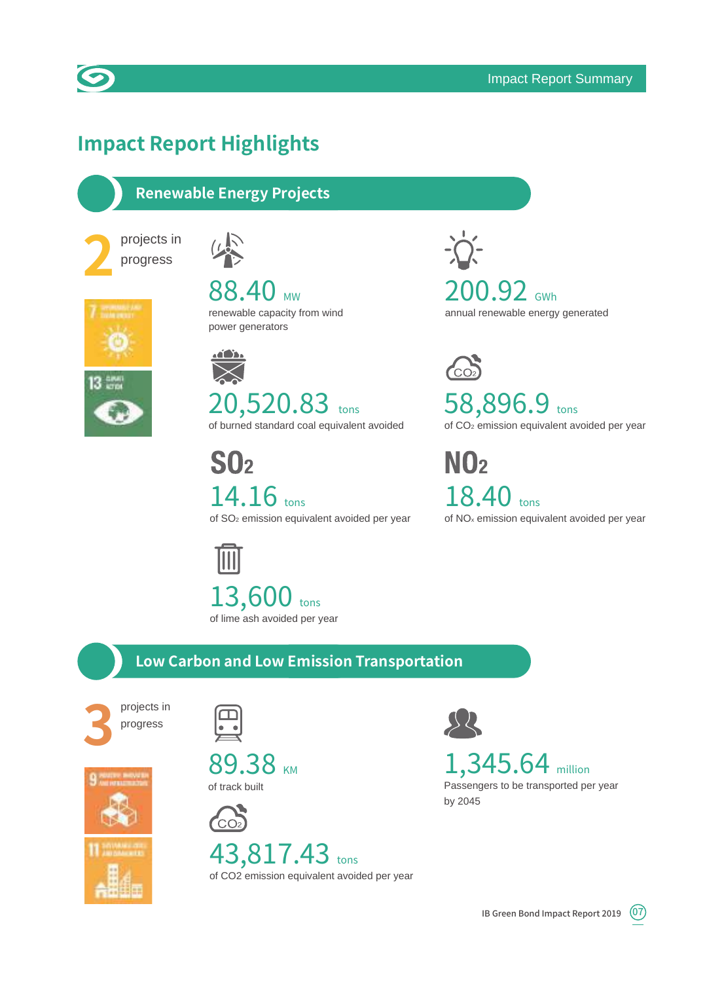

## **Impact Report Highlights**

#### **Renewable Energy Projects**





88.40 MW renewable capacity from wind power generators

<u>adition</u> 20,520.83 tons of burned standard coal equivalent avoided

 $S<sub>0<sub>2</sub></sub>$ 14.16 tons of SO2 emission equivalent avoided per year

 $200.92$  GWh annual renewable energy generated

 $\mathbb{C}$ 58,896.9 tons of CO2 emission equivalent avoided per year

 $N<sub>0<sub>2</sub></sub>$ 18.40 tons of NOx emission equivalent avoided per year

13,600 tons of lime ash avoided per year

#### **Low Carbon and Low Emission Transportation**



 $\overline{\bullet}\ \bullet$ 









43,817.43 tons of CO2 emission equivalent avoided per year



## 1,345.64 million

Passengers to be transported per year by 2045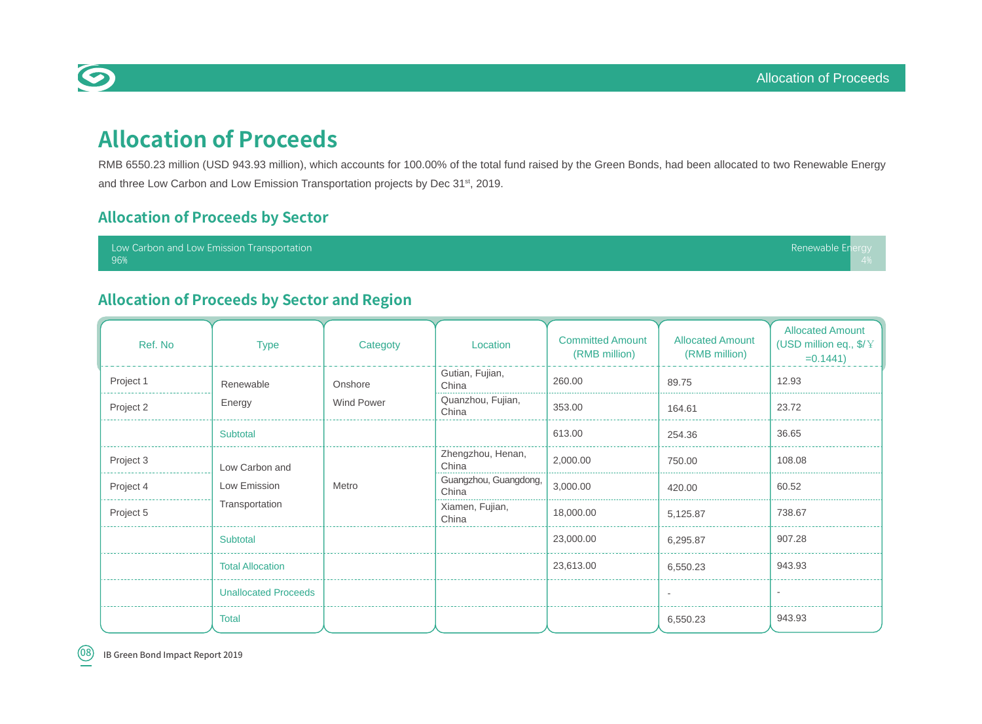## **Allocation of Proceeds**

RMB 6550.23 million (USD 943.93 million), which accounts for 100.00% of the total fund raised by the Green Bonds, had been allocated to two Renewable Energy and three Low Carbon and Low Emission Transportation projects by Dec 31<sup>st</sup>, 2019.

#### **Allocation of Proceeds by Sector**

Low Carbon and Low Emission Transportation 96%

#### **Allocation of Proceeds by Sector and Region**

| Ref. No   | <b>Type</b>                 | Categoty          | Location                       | <b>Committed Amount</b><br>(RMB million) | <b>Allocated Amount</b><br>(RMB million) | <b>Allocated Amount</b><br>(USD million eq., \$/¥<br>$=0.1441$ |  |  |
|-----------|-----------------------------|-------------------|--------------------------------|------------------------------------------|------------------------------------------|----------------------------------------------------------------|--|--|
| Project 1 | Renewable                   | Onshore           | Gutian, Fujian,<br>China       | 260.00                                   | 89.75                                    | 12.93                                                          |  |  |
| Project 2 | Energy                      | <b>Wind Power</b> | Quanzhou, Fujian,<br>China     | 353.00                                   | 164.61                                   | 23.72                                                          |  |  |
|           | Subtotal                    |                   |                                | 613.00                                   | 254.36                                   | 36.65                                                          |  |  |
| Project 3 | Low Carbon and              |                   | Zhengzhou, Henan,<br>China     | 2,000.00                                 | 750.00                                   | 108.08                                                         |  |  |
| Project 4 | Low Emission                | Metro             | Guangzhou, Guangdong,<br>China | 3,000.00                                 | 420.00                                   | 60.52                                                          |  |  |
| Project 5 | Transportation              |                   | Xiamen, Fujian,<br>China       | 18,000.00                                | 5,125.87                                 | 738.67                                                         |  |  |
|           | Subtotal                    |                   |                                | 23,000.00                                | 6,295.87                                 | 907.28                                                         |  |  |
|           | <b>Total Allocation</b>     |                   |                                | 23,613.00                                | 6,550.23                                 | 943.93                                                         |  |  |
|           | <b>Unallocated Proceeds</b> |                   |                                |                                          | $\sim$                                   | $\sim$                                                         |  |  |
|           | Total                       |                   |                                |                                          | 6,550.23                                 | 943.93                                                         |  |  |



Renewable E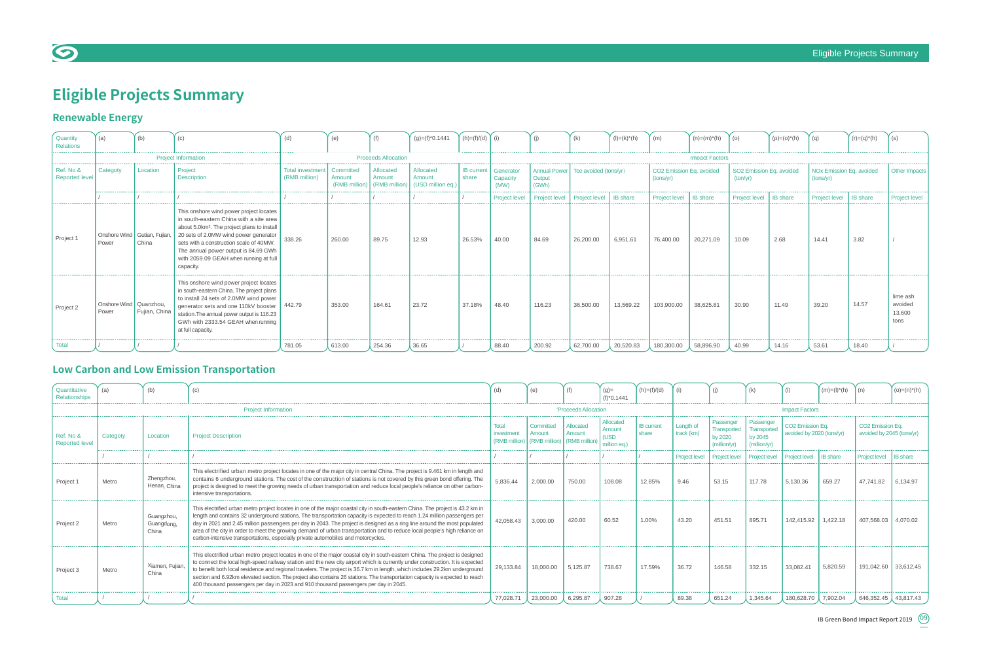#### Eligible Projects Summary





## **Eligible Projects Summary**

## **Low Carbon and Low Emission Transportation**

## **Renewable Energy**

| Quantity<br>Relations       | (a)                             | (b)                                                      | (c)                                                                                                                                                                                                                                                                                                                              | (d)                                           | (e)                     | (f)                                  | $(g)=(f)^*0.1441$                        | $(h)=(f)/(d)$              | (i)                                                              | (i)           | (k)                   | $(I) = (k)^*(h)$      | (m)                                   | $(n)=(m)^*(h)$  | (0)                                  | $(p)=(o)^*(h)$ | (q)                                   | $(r)=(q)^*(h)$ | (s)                                   |  |  |  |  |
|-----------------------------|---------------------------------|----------------------------------------------------------|----------------------------------------------------------------------------------------------------------------------------------------------------------------------------------------------------------------------------------------------------------------------------------------------------------------------------------|-----------------------------------------------|-------------------------|--------------------------------------|------------------------------------------|----------------------------|------------------------------------------------------------------|---------------|-----------------------|-----------------------|---------------------------------------|-----------------|--------------------------------------|----------------|---------------------------------------|----------------|---------------------------------------|--|--|--|--|
|                             |                                 | <b>Proceeds Allocation</b><br><b>Project Information</b> |                                                                                                                                                                                                                                                                                                                                  |                                               |                         |                                      |                                          |                            |                                                                  |               |                       | <b>Impact Factors</b> |                                       |                 |                                      |                |                                       |                |                                       |  |  |  |  |
| Ref. No &<br>Reported level | Categoty                        | Location                                                 | Project<br><b>Description</b>                                                                                                                                                                                                                                                                                                    | Total investment   Committed<br>(RMB million) | Amount<br>(RMB million) | Allocated<br>Amount<br>(RMB million) | Allocated<br>Amount<br>(USD million eq.) | <b>IB</b> current<br>share | Annual Power<br>Generator<br>Output<br>Capacity<br>(GWh)<br>(MW) |               | Tce avoided (tons/yr) |                       | CO2 Emission Eq. avoided<br>(tons/yr) |                 | SO2 Emission Eq. avoided<br>(ton/yr) |                | NOx Emission Eq. avoided<br>(tons/yr) |                | Other Impacts                         |  |  |  |  |
|                             |                                 |                                                          |                                                                                                                                                                                                                                                                                                                                  |                                               |                         |                                      |                                          |                            | Project level                                                    | Project level | Project level         | <b>IB</b> share       | Project level                         | <b>IB</b> share | Project level   IB share             |                | Project level   IB share              |                | Project level                         |  |  |  |  |
| Project 1                   | Power                           | Onshore Wind   Gutian, Fujian,<br>China                  | This onshore wind power project locates<br>in south-eastern China with a site area<br>about 5.0km <sup>2</sup> . The project plans to install<br>20 sets of 2.0MW wind power generator<br>sets with a construction scale of 40MW.<br>The annual power output is 84.69 GWh<br>with 2059.09 GEAH when running at full<br>capacity. | 338.26                                        | 260.00                  | 89.75                                | 12.93                                    | 26.53%                     | 40.00                                                            | 84.69         | 26,200.00             | 6,951.61              | 76,400.00                             | 20,271.09       | 10.09                                | 2.68           | 14.41                                 | 3.82           |                                       |  |  |  |  |
| Project 2                   | Onshore Wind Quanzhou.<br>Power | Fujian, China                                            | This onshore wind power project locates<br>in south-eastern China. The project plans<br>to install 24 sets of 2.0MW wind power<br>generator sets and one 110kV booster   442.79<br>station. The annual power output is 116.23<br>GWh with 2333.54 GEAH when running<br>at full capacity.                                         |                                               | 353.00                  | 164.61                               | 23.72                                    | 37.18%                     | 48.40                                                            | 116.23        | 36,500.00             | 13,569.22             | 103,900.00                            | 38,625.81       | 30.90                                | 11.49          | 39.20                                 | 14.57          | lime ash<br>avoided<br>13,600<br>tons |  |  |  |  |
| <b>Total</b>                |                                 |                                                          |                                                                                                                                                                                                                                                                                                                                  | 781.05                                        | 613.00                  | 254.36                               | 36.65                                    |                            | 88.40                                                            | 200.92        | 62,700.00             | 20,520.83             | 180,300.00                            | 58,896.90       | 40.99                                | 14.16          | 53.61                                 | 18.40          |                                       |  |  |  |  |

| Quantitative<br>Relationships      | (a)      | (b)                               | (c)                                                                                                                                                                                                                                                                                                                                                                                                                                                                                                                                                                                                                    | (d)                                  | (e)                  |                                                    | $(g) =$<br>$(f)^*0.1441$                    | $(h)=(f)/(d)$              |                               |                                                            | (k)                                                        |                                                           | $(m)=(I)^*(h)$        |                                                           | $(o)=(n)^*(h)$  |  |
|------------------------------------|----------|-----------------------------------|------------------------------------------------------------------------------------------------------------------------------------------------------------------------------------------------------------------------------------------------------------------------------------------------------------------------------------------------------------------------------------------------------------------------------------------------------------------------------------------------------------------------------------------------------------------------------------------------------------------------|--------------------------------------|----------------------|----------------------------------------------------|---------------------------------------------|----------------------------|-------------------------------|------------------------------------------------------------|------------------------------------------------------------|-----------------------------------------------------------|-----------------------|-----------------------------------------------------------|-----------------|--|
|                                    |          |                                   | <b>Project Information</b>                                                                                                                                                                                                                                                                                                                                                                                                                                                                                                                                                                                             |                                      | 'Proceeds Allocation |                                                    |                                             |                            |                               |                                                            |                                                            |                                                           | <b>Impact Factors</b> |                                                           |                 |  |
| Ref. No &<br><b>Reported level</b> | Categoty | Location                          | <b>Project Description</b>                                                                                                                                                                                                                                                                                                                                                                                                                                                                                                                                                                                             | Total<br>investment<br>(RMB million) | Committed<br>Amount  | Allocated<br>Amount<br>(RMB million) (RMB million) | Allocated<br>Amount<br>(USD<br>million ea.) | <b>IB</b> current<br>share | Length of<br>$track$ ( $km$ ) | Passenger<br><b>Transported</b><br>by 2020<br>(million/yr) | Passenger<br><b>Transported</b><br>by 2045<br>(million/yr) | CO <sub>2</sub> Emission Eq.<br>avoided by 2020 (tons/yr) |                       | CO <sub>2</sub> Emission Eq.<br>avoided by 2045 (tons/yr) |                 |  |
|                                    |          |                                   |                                                                                                                                                                                                                                                                                                                                                                                                                                                                                                                                                                                                                        |                                      |                      |                                                    |                                             |                            |                               | Project level   Project level                              | <b>Project level</b>                                       | <b>Project level</b>                                      | <b>IB</b> share       | <b>Project level</b>                                      | <b>IB</b> share |  |
| Project 1                          | Metro    | Zhengzhou,<br>Henan, China        | This electrified urban metro project locates in one of the major city in central China. The project is 9.461 km in length and<br>contains 6 underground stations. The cost of the construction of stations is not covered by this green bond offering. The<br>project is designed to meet the growing needs of urban transportation and reduce local people's reliance on other carbon-<br>intensive transportations.                                                                                                                                                                                                  | 5,836.44                             | 2,000.00             | 750.00                                             | 108.08                                      | 12.85%                     | 9.46                          | 53.15                                                      | 117.78                                                     | 5,130.36                                                  | 659.27                | 47,741.82                                                 | 6,134.97        |  |
| Project 2                          | Metro    | Guangzhou,<br>Guangdong,<br>China | This electrified urban metro project locates in one of the major coastal city in south-eastern China. The project is 43.2 km in<br>length and contains 32 underground stations. The transportation capacity is expected to reach 1.24 million passengers per<br>day in 2021 and 2.45 million passengers per day in 2043. The project is designed as a ring line around the most populated<br>area of the city in order to meet the growing demand of urban transportation and to reduce local people's high reliance on<br>carbon-intensive transportations, especially private automobiles and motorcycles.           | 42,058.43                            | 3,000.00             | 420.00                                             | 60.52                                       | 1.00%                      | 43.20                         | 451.51                                                     | 895.71                                                     | 142,415.92                                                | 1,422.18              | 407,568.03 4,070.02                                       |                 |  |
| Project 3                          | Metro    | Xiamen, Fuijan.<br>China          | This electrified urban metro project locates in one of the major coastal city in south-eastern China. The project is designed<br>to connect the local high-speed railway station and the new city airport which is currently under construction. It is expected<br>to benefit both local residence and regional travelers. The project is 36.7 km in length, which includes 29.2km underground<br>section and 6.92km elevated section. The project also contains 26 stations. The transportation capacity is expected to reach<br>400 thousand passengers per day in 2023 and 910 thousand passengers per day in 2045. | 29,133.84                            | 18,000.00            | 5,125.87                                           | 738.67                                      | 17.59%                     | 36.72                         | 146.58                                                     | 332.15                                                     | 33,082.41                                                 | 5,820.59              | 191,042.60 33,612.45                                      |                 |  |
| Total                              |          |                                   |                                                                                                                                                                                                                                                                                                                                                                                                                                                                                                                                                                                                                        | 77,028.71                            | 23,000.00            | 6,295.87                                           | 907.28                                      |                            | 89.38                         | 651.24                                                     | 1,345.64                                                   | 180,628.70                                                | 7,902.04              | 646,352.45 43,817.43                                      |                 |  |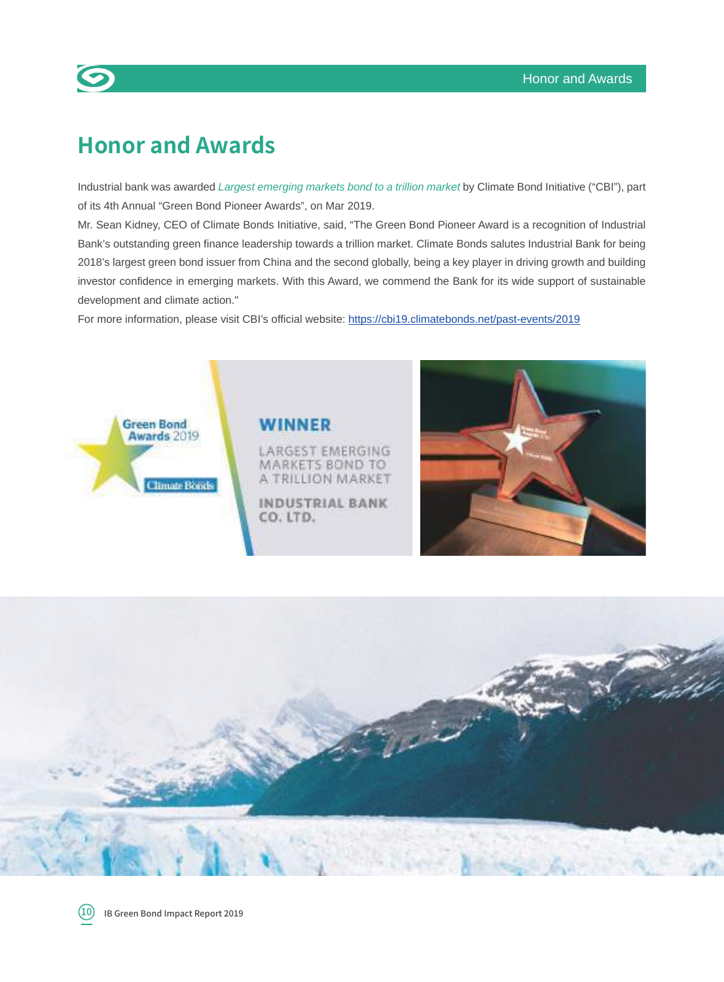## **Honor and Awards**

 $\bullet$ 

Industrial bank was awarded Largest emerging markets bond to a trillion market by Climate Bond Initiative ("CBI"), part of its 4th Annual "Green Bond Pioneer Awards", on Mar 2019.

Mr. Sean Kidney, CEO of Climate Bonds Initiative, said, "The Green Bond Pioneer Award is a recognition of Industrial Bank's outstanding green finance leadership towards a trillion market. Climate Bonds salutes Industrial Bank for being 2018's largest green bond issuer from China and the second globally, being a key player in driving growth and building investor confidence in emerging markets. With this Award, we commend the Bank for its wide support of sustainable development and climate action."

For more information, please visit CBI's official website: https://cbi19.climatebonds.net/past-events/2019



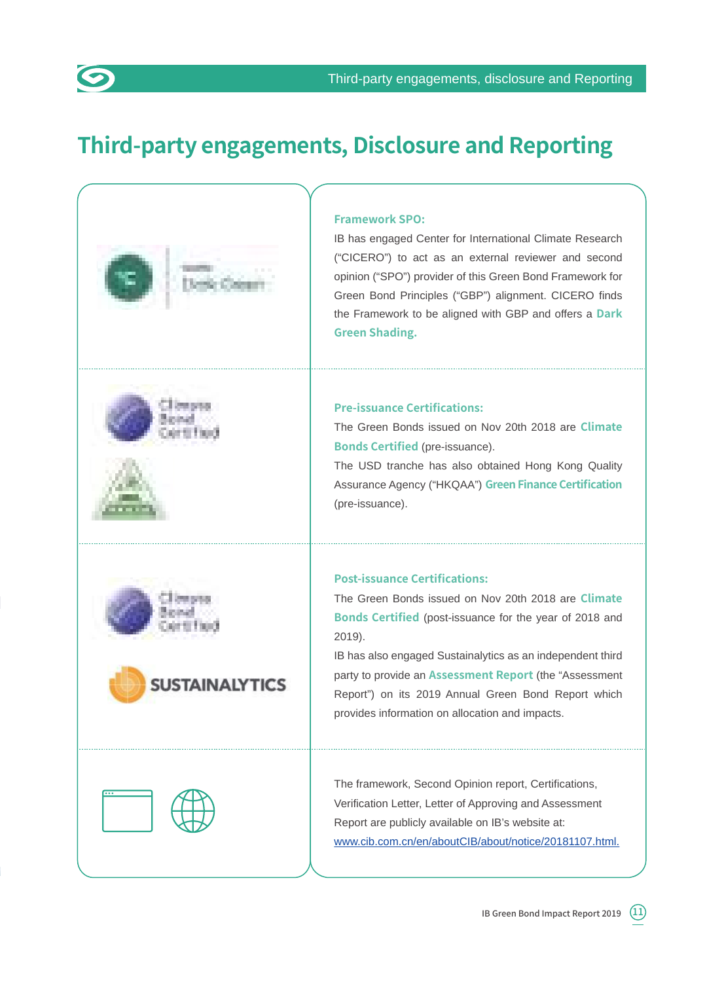## **Third-party engagements, Disclosure and Reporting**

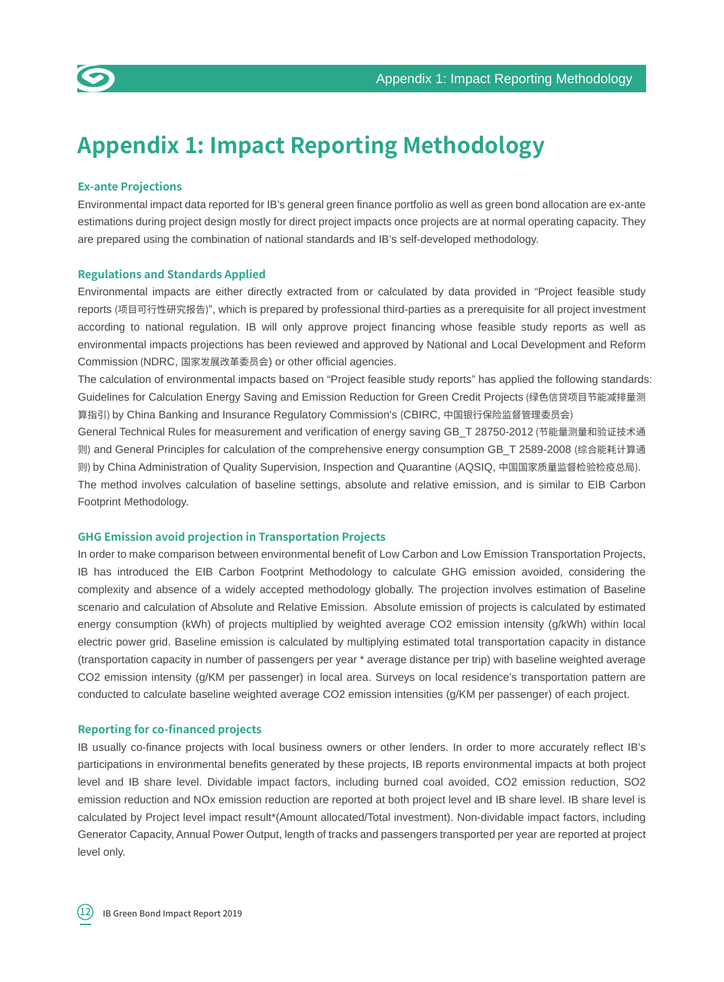

#### **Ex-ante Projections**

Environmental impact data reported for IB's general green finance portfolio as well as green bond allocation are ex-ante estimations during project design mostly for direct project impacts once projects are at normal operating capacity. They are prepared using the combination of national standards and IB's self-developed methodology.

#### **Regulations and Standards Applied**

Environmental impacts are either directly extracted from or calculated by data provided in "Project feasible study reports (项目可行性研究报告)", which is prepared by professional third-parties as a prerequisite for all project investment according to national regulation. IB will only approve project financing whose feasible study reports as well as environmental impacts projections has been reviewed and approved by National and Local Development and Reform Commission (NDRC, 国家发展改革委员会) or other official agencies.

The calculation of environmental impacts based on "Project feasible study reports" has applied the following standards: Guidelines for Calculation Energy Saving and Emission Reduction for Green Credit Projects (绿色信贷项目节能减排量测 算指引) by China Banking and Insurance Regulatory Commission's (CBIRC, 中国银行保险监督管理委员会)

General Technical Rules for measurement and verification of energy saving GB\_T 28750-2012 (节能量测量和验证技术通 则) and General Principles for calculation of the comprehensive energy consumption GB\_T 2589-2008 (综合能耗计算通 则) by China Administration of Quality Supervision, Inspection and Quarantine (AQSIQ, 中国国家质量监督检验检疫总局). The method involves calculation of baseline settings, absolute and relative emission, and is similar to EIB Carbon Footprint Methodology.

#### **GHG Emission avoid projection in Transportation Projects**

In order to make comparison between environmental benefit of Low Carbon and Low Emission Transportation Projects, IB has introduced the EIB Carbon Footprint Methodology to calculate GHG emission avoided, considering the complexity and absence of a widely accepted methodology globally. The projection involves estimation of Baseline scenario and calculation of Absolute and Relative Emission. Absolute emission of projects is calculated by estimated energy consumption (kWh) of projects multiplied by weighted average CO2 emission intensity (g/kWh) within local electric power grid. Baseline emission is calculated by multiplying estimated total transportation capacity in distance (transportation capacity in number of passengers per year \* average distance per trip) with baseline weighted average CO2 emission intensity (g/KM per passenger) in local area. Surveys on local residence's transportation pattern are conducted to calculate baseline weighted average CO2 emission intensities (g/KM per passenger) of each project.

#### **Reporting for co-financed projects**

IB usually co-finance projects with local business owners or other lenders. In order to more accurately reflect IB's participations in environmental benefits generated by these projects, IB reports environmental impacts at both project level and IB share level. Dividable impact factors, including burned coal avoided, CO2 emission reduction, SO2 emission reduction and NOx emission reduction are reported at both project level and IB share level. IB share level is calculated by Project level impact result\*(Amount allocated/Total investment). Non-dividable impact factors, including Generator Capacity, Annual Power Output, length of tracks and passengers transported per year are reported at project level only.